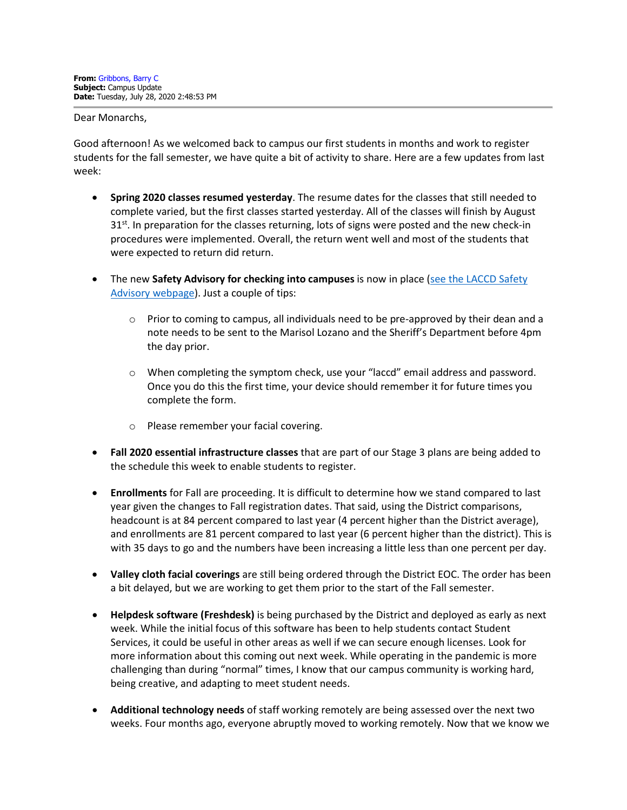Dear Monarchs,

Good afternoon! As we welcomed back to campus our first students in months and work to register students for the fall semester, we have quite a bit of activity to share. Here are a few updates from last week:

- **Spring 2020 classes resumed yesterday**. The resume dates for the classes that still needed to complete varied, but the first classes started yesterday. All of the classes will finish by August  $31<sup>st</sup>$ . In preparation for the classes returning, lots of signs were posted and the new check-in procedures were implemented. Overall, the return went well and most of the students that were expected to return did return.
- The new Safety Advisory for checking into campuses is now in place (see the LACCD Safety [Advisory webpage\)](http://laccd.edu/About/News/Pages/Safety-Advisories.aspx). Just a couple of tips:
	- $\circ$  Prior to coming to campus, all individuals need to be pre-approved by their dean and a note needs to be sent to the Marisol Lozano and the Sheriff's Department before 4pm the day prior.
	- $\circ$  When completing the symptom check, use your "laccd" email address and password. Once you do this the first time, your device should remember it for future times you complete the form.
	- o Please remember your facial covering.
- **Fall 2020 essential infrastructure classes** that are part of our Stage 3 plans are being added to the schedule this week to enable students to register.
- **Enrollments** for Fall are proceeding. It is difficult to determine how we stand compared to last year given the changes to Fall registration dates. That said, using the District comparisons, headcount is at 84 percent compared to last year (4 percent higher than the District average), and enrollments are 81 percent compared to last year (6 percent higher than the district). This is with 35 days to go and the numbers have been increasing a little less than one percent per day.
- **Valley cloth facial coverings** are still being ordered through the District EOC. The order has been a bit delayed, but we are working to get them prior to the start of the Fall semester.
- **Helpdesk software (Freshdesk)** is being purchased by the District and deployed as early as next week. While the initial focus of this software has been to help students contact Student Services, it could be useful in other areas as well if we can secure enough licenses. Look for more information about this coming out next week. While operating in the pandemic is more challenging than during "normal" times, I know that our campus community is working hard, being creative, and adapting to meet student needs.
- **Additional technology needs** of staff working remotely are being assessed over the next two weeks. Four months ago, everyone abruptly moved to working remotely. Now that we know we